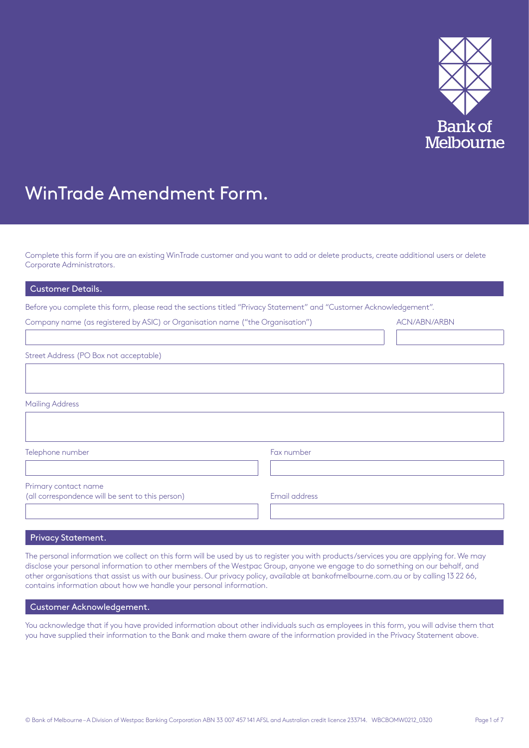

# WinTrade Amendment Form.

Complete this form if you are an existing WinTrade customer and you want to add or delete products, create additional users or delete Corporate Administrators.

## Customer Details.

Before you complete this form, please read the sections titled "Privacy Statement" and "Customer Acknowledgement".

| Company name (as registered by ASIC) or Organisation name ("the Organisation") |               | ACN/ABN/ARBN |
|--------------------------------------------------------------------------------|---------------|--------------|
|                                                                                |               |              |
| Street Address (PO Box not acceptable)                                         |               |              |
|                                                                                |               |              |
|                                                                                |               |              |
| <b>Mailing Address</b>                                                         |               |              |
|                                                                                |               |              |
|                                                                                |               |              |
| Telephone number                                                               | Fax number    |              |
|                                                                                |               |              |
| Primary contact name                                                           |               |              |
| (all correspondence will be sent to this person)                               | Email address |              |
|                                                                                |               |              |

## Privacy Statement.

The personal information we collect on this form will be used by us to register you with products/services you are applying for.We may disclose your personal information to other members of the Westpac Group, anyone we engage to do something on our behalf, and other organisations that assist us with our business. Our privacy policy, available at<bankofmelbourne.com.au>or by calling 13 22 66, contains information about how we handle your personal information.

# Customer Acknowledgement.

You acknowledge that if you have provided information about other individuals such as employees in this form, you will advise them that you have supplied their information to the Bank and make them aware of the information provided in the Privacy Statement above.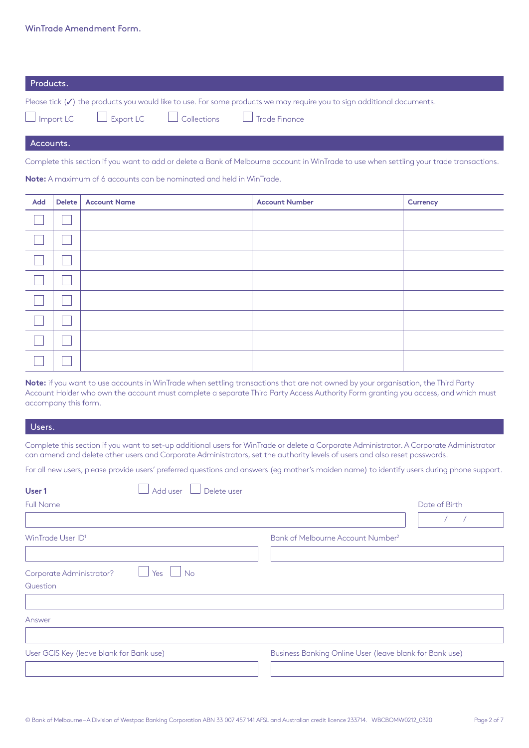| Products. |  |                                                                                                                                   |
|-----------|--|-----------------------------------------------------------------------------------------------------------------------------------|
|           |  | Please tick $(\checkmark)$ the products you would like to use. For some products we may require you to sign additional documents. |
|           |  | $\Box$ Import LC $\Box$ Export LC $\Box$ Collections $\Box$ Trade Finance                                                         |

Accounts.

Complete this section if you want to add or delete a Bank of Melbourne account in WinTrade to use when settling your trade transactions.

**Note:** A maximum of 6 accounts can be nominated and held in WinTrade.

| <b>Add</b> | Delete   Account Name | <b>Account Number</b> | Currency |
|------------|-----------------------|-----------------------|----------|
|            |                       |                       |          |
|            |                       |                       |          |
|            |                       |                       |          |
|            |                       |                       |          |
|            |                       |                       |          |
|            |                       |                       |          |
|            |                       |                       |          |
|            |                       |                       |          |

**Note:** if you want to use accounts in WinTrade when settling transactions that are not owned by your organisation, the Third Party Account Holder who own the account must complete a separate Third Party Access Authority Form granting you access, and which must accompany this form.

## Users.

Complete this section if you want to set-up additional users for WinTrade or delete a Corporate Administrator. A Corporate Administrator can amend and delete other users and Corporate Administrators, set the authority levels of users and also reset passwords.

For all new users, please provide users' preferred questions and answers (eg mother's maiden name) to identify users during phone support.

| Add user<br>User 1<br>Delete user                |                                                         |
|--------------------------------------------------|---------------------------------------------------------|
| <b>Full Name</b>                                 | Date of Birth                                           |
|                                                  |                                                         |
| WinTrade User ID <sup>1</sup>                    | Bank of Melbourne Account Number <sup>2</sup>           |
|                                                  |                                                         |
| $\Box$ Yes $\Box$ No<br>Corporate Administrator? |                                                         |
| Question                                         |                                                         |
|                                                  |                                                         |
| Answer                                           |                                                         |
|                                                  |                                                         |
| User GCIS Key (leave blank for Bank use)         | Business Banking Online User (leave blank for Bank use) |
|                                                  |                                                         |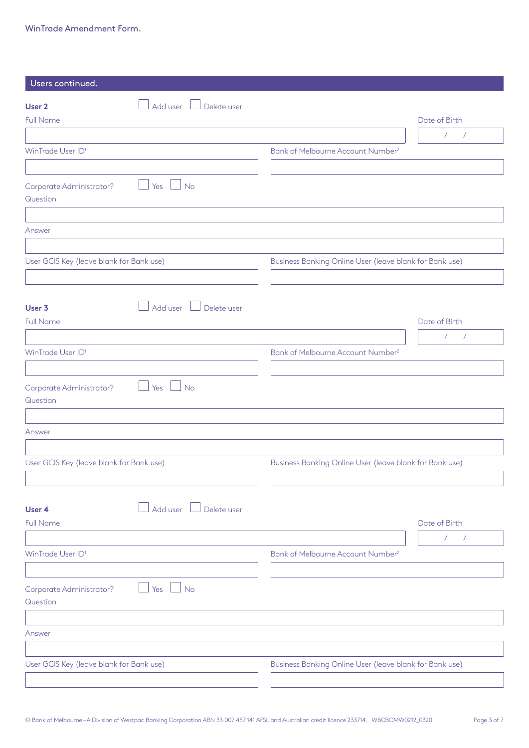| Users continued.                         |                        |                                                         |                              |
|------------------------------------------|------------------------|---------------------------------------------------------|------------------------------|
| User <sub>2</sub>                        | Add user U Delete user |                                                         |                              |
| <b>Full Name</b>                         |                        |                                                         | Date of Birth                |
|                                          |                        |                                                         | $\sqrt{2}$<br>$\sqrt{2}$     |
| WinTrade User ID <sup>1</sup>            |                        | Bank of Melbourne Account Number <sup>2</sup>           |                              |
|                                          |                        |                                                         |                              |
|                                          |                        |                                                         |                              |
| Corporate Administrator?<br>Question     | Yes<br>No              |                                                         |                              |
|                                          |                        |                                                         |                              |
| Answer                                   |                        |                                                         |                              |
|                                          |                        |                                                         |                              |
| User GCIS Key (leave blank for Bank use) |                        | Business Banking Online User (leave blank for Bank use) |                              |
|                                          |                        |                                                         |                              |
|                                          |                        |                                                         |                              |
| User 3                                   | Add user U Delete user |                                                         |                              |
| <b>Full Name</b>                         |                        |                                                         | Date of Birth                |
|                                          |                        |                                                         | $\sqrt{2}$<br>$\overline{1}$ |
| WinTrade User ID <sup>1</sup>            |                        | Bank of Melbourne Account Number <sup>2</sup>           |                              |
|                                          |                        |                                                         |                              |
| Corporate Administrator?<br>Question     | Yes<br>No              |                                                         |                              |
| Answer                                   |                        |                                                         |                              |
|                                          |                        |                                                         |                              |
| User GCIS Key (leave blank for Bank use) |                        | Business Banking Online User (leave blank for Bank use) |                              |
|                                          |                        |                                                         |                              |
| User 4                                   | Add user U Delete user |                                                         |                              |
| <b>Full Name</b>                         |                        |                                                         | Date of Birth                |
|                                          |                        |                                                         | $\sqrt{2}$<br>$\sqrt{2}$     |
| WinTrade User ID <sup>1</sup>            |                        | Bank of Melbourne Account Number <sup>2</sup>           |                              |
|                                          |                        |                                                         |                              |
| Corporate Administrator?<br>Question     | Yes $\Box$ No          |                                                         |                              |
|                                          |                        |                                                         |                              |
| Answer                                   |                        |                                                         |                              |
|                                          |                        |                                                         |                              |
| User GCIS Key (leave blank for Bank use) |                        | Business Banking Online User (leave blank for Bank use) |                              |
|                                          |                        |                                                         |                              |
|                                          |                        |                                                         |                              |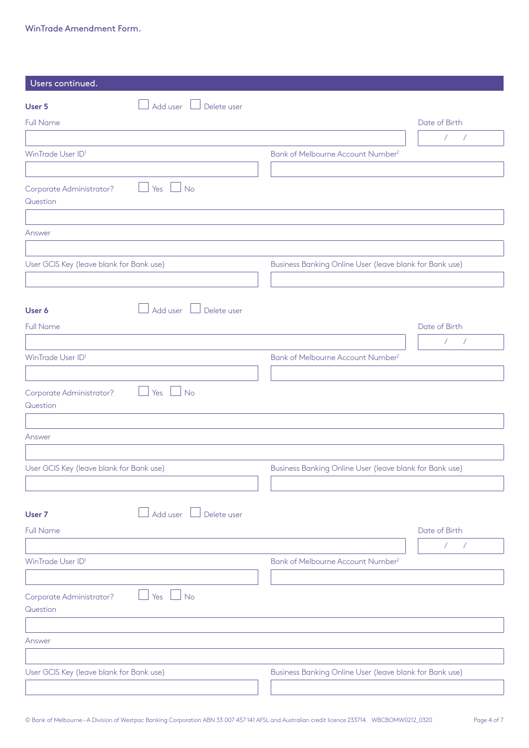| Users continued.                         |                                    |                                                         |                              |
|------------------------------------------|------------------------------------|---------------------------------------------------------|------------------------------|
| User 5                                   | Add user U Delete user             |                                                         |                              |
| <b>Full Name</b>                         |                                    |                                                         | Date of Birth                |
|                                          |                                    |                                                         | $\sqrt{2}$<br>$\mathcal{L}$  |
| WinTrade User ID <sup>1</sup>            |                                    | Bank of Melbourne Account Number <sup>2</sup>           |                              |
|                                          |                                    |                                                         |                              |
| Corporate Administrator?<br>Question     | Yes<br>$\Box$ No                   |                                                         |                              |
|                                          |                                    |                                                         |                              |
| Answer                                   |                                    |                                                         |                              |
|                                          |                                    |                                                         |                              |
| User GCIS Key (leave blank for Bank use) |                                    | Business Banking Online User (leave blank for Bank use) |                              |
|                                          |                                    |                                                         |                              |
| User 6                                   | $\Box$ Add user $\Box$ Delete user |                                                         |                              |
| <b>Full Name</b>                         |                                    |                                                         | Date of Birth                |
|                                          |                                    |                                                         | $\sqrt{2}$<br>$\sqrt{ }$     |
| WinTrade User ID <sup>1</sup>            |                                    | Bank of Melbourne Account Number <sup>2</sup>           |                              |
|                                          |                                    |                                                         |                              |
| Corporate Administrator?<br>Question     | Yes<br>  No                        |                                                         |                              |
| Answer                                   |                                    |                                                         |                              |
|                                          |                                    |                                                         |                              |
| User GCIS Key (leave blank for Bank use) |                                    | Business Banking Online User (leave blank for Bank use) |                              |
|                                          |                                    |                                                         |                              |
| User 7                                   | Add user U Delete user             |                                                         |                              |
| <b>Full Name</b>                         |                                    |                                                         | Date of Birth                |
|                                          |                                    |                                                         | $\sqrt{2}$<br>$\overline{1}$ |
| WinTrade User ID <sup>1</sup>            |                                    | Bank of Melbourne Account Number <sup>2</sup>           |                              |
|                                          |                                    |                                                         |                              |
| Corporate Administrator?<br>Question     | Yes<br>$\Box$ No                   |                                                         |                              |
|                                          |                                    |                                                         |                              |
| Answer                                   |                                    |                                                         |                              |
|                                          |                                    |                                                         |                              |
| User GCIS Key (leave blank for Bank use) |                                    | Business Banking Online User (leave blank for Bank use) |                              |
|                                          |                                    |                                                         |                              |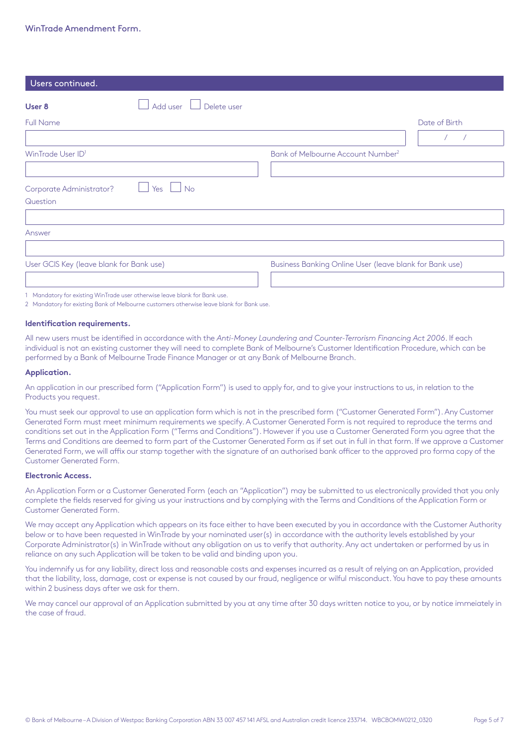| Users continued.                                                                                                                                                                                                                                                                                                                                                                                                                                            |                        |                                                         |               |
|-------------------------------------------------------------------------------------------------------------------------------------------------------------------------------------------------------------------------------------------------------------------------------------------------------------------------------------------------------------------------------------------------------------------------------------------------------------|------------------------|---------------------------------------------------------|---------------|
| User 8                                                                                                                                                                                                                                                                                                                                                                                                                                                      | Add user U Delete user |                                                         |               |
| <b>Full Name</b>                                                                                                                                                                                                                                                                                                                                                                                                                                            |                        |                                                         | Date of Birth |
|                                                                                                                                                                                                                                                                                                                                                                                                                                                             |                        |                                                         |               |
| WinTrade User ID <sup>1</sup>                                                                                                                                                                                                                                                                                                                                                                                                                               |                        | Bank of Melbourne Account Number <sup>2</sup>           |               |
|                                                                                                                                                                                                                                                                                                                                                                                                                                                             |                        |                                                         |               |
| Corporate Administrator?                                                                                                                                                                                                                                                                                                                                                                                                                                    | $Yes$ $\Box$ No        |                                                         |               |
| Question                                                                                                                                                                                                                                                                                                                                                                                                                                                    |                        |                                                         |               |
|                                                                                                                                                                                                                                                                                                                                                                                                                                                             |                        |                                                         |               |
| Answer                                                                                                                                                                                                                                                                                                                                                                                                                                                      |                        |                                                         |               |
|                                                                                                                                                                                                                                                                                                                                                                                                                                                             |                        |                                                         |               |
| User GCIS Key (leave blank for Bank use)                                                                                                                                                                                                                                                                                                                                                                                                                    |                        | Business Banking Online User (leave blank for Bank use) |               |
|                                                                                                                                                                                                                                                                                                                                                                                                                                                             |                        |                                                         |               |
| $\mathcal{L} = \mathcal{L} \mathcal{L} = \mathcal{L} \mathcal{L} = \mathcal{L} \mathcal{L} = \mathcal{L} \mathcal{L} \mathcal{L} = \mathcal{L} \mathcal{L} \mathcal{L} = \mathcal{L} \mathcal{L} \mathcal{L} = \mathcal{L} \mathcal{L} \mathcal{L} \mathcal{L} = \mathcal{L} \mathcal{L} \mathcal{L} \mathcal{L} \mathcal{L} \mathcal{L} \mathcal{L} \mathcal{L} \mathcal{L} \mathcal{L} \mathcal{L} \mathcal{L} \mathcal{L} \mathcal{L} \mathcal{L} \math$ |                        |                                                         |               |

1 Mandatory for existing WinTrade user otherwise leave blank for Bank use.

2 Mandatory for existing Bank of Melbourne customers otherwise leave blank for Bank use.

### **Identification requirements.**

All new users must be identified in accordance with the *Anti-Money Laundering and Counter-Terrorism Financing Act 2006*. If each individual is not an existing customer they will need to complete Bank of Melbourne's Customer Identification Procedure, which can be performed by a Bank of Melbourne Trade Finance Manager or at any Bank of Melbourne Branch.

## **Application.**

An application in our prescribed form ("Application Form") is used to apply for, and to give your instructions to us, in relation to the Products you request.

You must seek our approval to use an application form which is not in the prescribed form ("Customer Generated Form"). Any Customer Generated Form must meet minimum requirements we specify. A Customer Generated Form is not required to reproduce the terms and conditions set out in the Application Form ("Terms and Conditions"). However if you use a Customer Generated Form you agree that the Terms and Conditions are deemed to form part of the Customer Generated Form as if set out in full in that form. If we approve a Customer Generated Form, we will affix our stamp together with the signature of an authorised bank officer to the approved pro forma copy of the Customer Generated Form.

## **Electronic Access.**

An Application Form or a Customer Generated Form (each an "Application") may be submitted to us electronically provided that you only complete the fields reserved for giving us your instructions and by complying with the Terms and Conditions of the Application Form or Customer Generated Form.

We may accept any Application which appears on its face either to have been executed by you in accordance with the Customer Authority below or to have been requested in WinTrade by your nominated user(s) in accordance with the authority levels established by your Corporate Administrator(s) in WinTrade without any obligation on us to verify that authority. Any act undertaken or performed by us in reliance on any such Application will be taken to be valid and binding upon you.

You indemnify us for any liability, direct loss and reasonable costs and expenses incurred as a result of relying on an Application, provided that the liability, loss, damage, cost or expense is not caused by our fraud, negligence or wilful misconduct. You have to pay these amounts within 2 business days after we ask for them.

We may cancel our approval of an Application submitted by you at any time after 30 days written notice to you, or by notice immeiately in the case of fraud.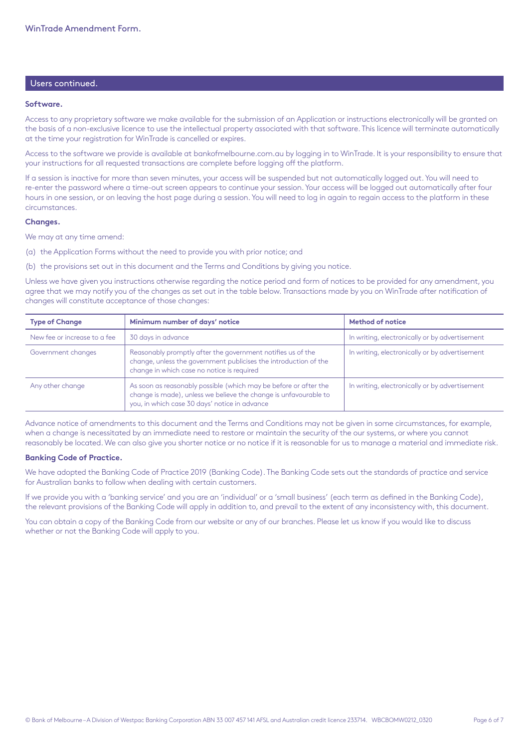# Users continued.

#### **Software.**

Access to any proprietary software we make available for the submission of an Application or instructions electronically will be granted on the basis of a non-exclusive licence to use the intellectual property associated with that software. This licence will terminate automatically at the time your registration for WinTrade is cancelled or expires.

Access to the software we provide is available at [bankofmelbourne.com.au](http://bankofmelbourne.com.au) by logging in to WinTrade. It is your responsibility to ensure that your instructions for all requested transactions are complete before logging off the platform.

If a session is inactive for more than seven minutes, your access will be suspended but not automatically logged out. You will need to re-enter the password where a time-out screen appears to continue your session. Your access will be logged out automatically after four hours in one session, or on leaving the host page during a session. You will need to log in again to regain access to the platform in these circumstances.

## **Changes.**

We may at any time amend:

(a) the Application Forms without the need to provide you with prior notice; and

(b) the provisions set out in this document and the Terms and Conditions by giving you notice.

Unless we have given you instructions otherwise regarding the notice period and form of notices to be provided for any amendment, you agree that we may notify you of the changes as set out in the table below. Transactions made by you on WinTrade after notification of changes will constitute acceptance of those changes:

| <b>Type of Change</b>        | Minimum number of days' notice                                                                                                                                                        | Method of notice                               |
|------------------------------|---------------------------------------------------------------------------------------------------------------------------------------------------------------------------------------|------------------------------------------------|
| New fee or increase to a fee | 30 days in advance                                                                                                                                                                    | In writing, electronically or by advertisement |
| Government changes           | Reasonably promptly after the government notifies us of the<br>change, unless the government publicises the introduction of the<br>change in which case no notice is required         | In writing, electronically or by advertisement |
| Any other change             | As soon as reasonably possible (which may be before or after the<br>change is made), unless we believe the change is unfavourable to<br>you, in which case 30 days' notice in advance | In writing, electronically or by advertisement |

Advance notice of amendments to this document and the Terms and Conditions may not be given in some circumstances, for example, when a change is necessitated by an immediate need to restore or maintain the security of the our systems, or where you cannot reasonably be located. We can also give you shorter notice or no notice if it is reasonable for us to manage a material and immediate risk.

## **Banking Code of Practice.**

We have adopted the Banking Code of Practice 2019 (Banking Code). The Banking Code sets out the standards of practice and service for Australian banks to follow when dealing with certain customers.

If we provide you with a 'banking service' and you are an 'individual' or a 'small business' (each term as defined in the Banking Code), the relevant provisions of the Banking Code will apply in addition to, and prevail to the extent of any inconsistency with, this document.

You can obtain a copy of the Banking Code from our website or any of our branches. Please let us know if you would like to discuss whether or not the Banking Code will apply to you.